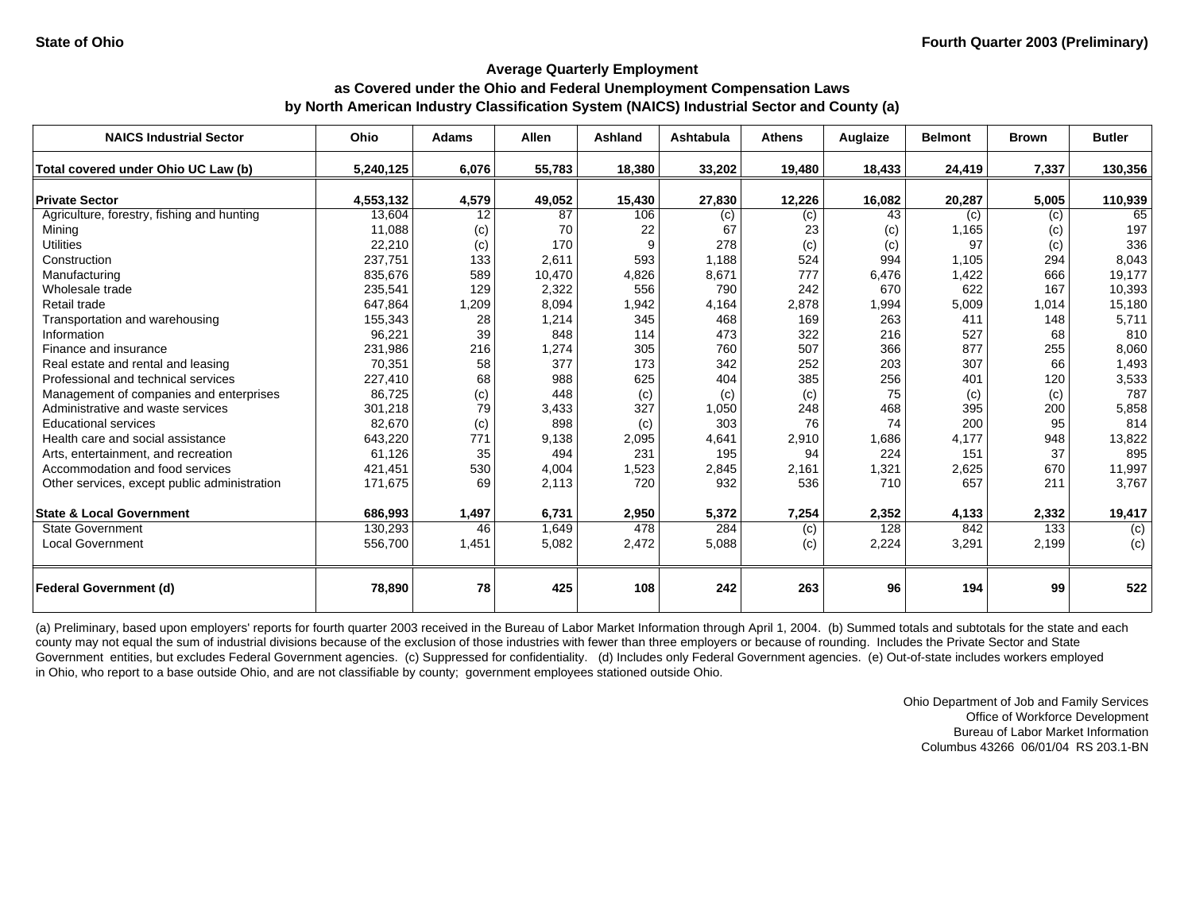| <b>NAICS Industrial Sector</b>               | Ohio      | <b>Adams</b> | <b>Allen</b> | <b>Ashland</b> | Ashtabula | <b>Athens</b>    | Auglaize | <b>Belmont</b> | <b>Brown</b> | <b>Butler</b>    |
|----------------------------------------------|-----------|--------------|--------------|----------------|-----------|------------------|----------|----------------|--------------|------------------|
| Total covered under Ohio UC Law (b)          | 5,240,125 | 6,076        | 55,783       | 18,380         | 33,202    | 19,480           | 18,433   | 24,419         | 7,337        | 130,356          |
| <b>Private Sector</b>                        | 4,553,132 | 4,579        | 49,052       | 15,430         | 27,830    | 12,226           | 16,082   | 20,287         | 5,005        | 110,939          |
| Agriculture, forestry, fishing and hunting   | 13,604    | 12           | 87           | 106            | (c)       | $\overline{(c)}$ | 43       | (c)            | (c)          | 65               |
| Mining                                       | 11,088    | (c)          | 70           | 22             | 67        | 23               | (c)      | 1,165          | (c)          | 197              |
| <b>Utilities</b>                             | 22,210    | (c)          | 170          | 9              | 278       | (c)              | (c)      | 97             | (c)          | 336              |
| Construction                                 | 237,751   | 133          | 2,611        | 593            | 1,188     | 524              | 994      | 1,105          | 294          | 8,043            |
| Manufacturing                                | 835,676   | 589          | 10,470       | 4,826          | 8,671     | 777              | 6,476    | 1,422          | 666          | 19,177           |
| Wholesale trade                              | 235,541   | 129          | 2,322        | 556            | 790       | 242              | 670      | 622            | 167          | 10,393           |
| Retail trade                                 | 647,864   | 1,209        | 8,094        | 1,942          | 4,164     | 2,878            | 1,994    | 5,009          | 1,014        | 15,180           |
| Transportation and warehousing               | 155,343   | 28           | 1,214        | 345            | 468       | 169              | 263      | 411            | 148          | 5,711            |
| Information                                  | 96,221    | 39           | 848          | 114            | 473       | 322              | 216      | 527            | 68           | 810              |
| Finance and insurance                        | 231,986   | 216          | 1,274        | 305            | 760       | 507              | 366      | 877            | 255          | 8,060            |
| Real estate and rental and leasing           | 70,351    | 58           | 377          | 173            | 342       | 252              | 203      | 307            | 66           | 1,493            |
| Professional and technical services          | 227,410   | 68           | 988          | 625            | 404       | 385              | 256      | 401            | 120          | 3,533            |
| Management of companies and enterprises      | 86,725    | (c)          | 448          | (c)            | (c)       | (c)              | 75       | (c)            | (c)          | 787              |
| Administrative and waste services            | 301,218   | 79           | 3,433        | 327            | 1,050     | 248              | 468      | 395            | 200          | 5,858            |
| <b>Educational services</b>                  | 82,670    | (c)          | 898          | (c)            | 303       | 76               | 74       | 200            | 95           | 814              |
| Health care and social assistance            | 643,220   | 771          | 9,138        | 2,095          | 4,641     | 2,910            | 1,686    | 4,177          | 948          | 13,822           |
| Arts, entertainment, and recreation          | 61,126    | 35           | 494          | 231            | 195       | 94               | 224      | 151            | 37           | 895              |
| Accommodation and food services              | 421.451   | 530          | 4,004        | 1,523          | 2,845     | 2,161            | 1,321    | 2,625          | 670          | 11,997           |
| Other services, except public administration | 171,675   | 69           | 2,113        | 720            | 932       | 536              | 710      | 657            | 211          | 3,767            |
| <b>State &amp; Local Government</b>          | 686,993   | 1,497        | 6,731        | 2,950          | 5,372     | 7,254            | 2,352    | 4,133          | 2,332        | 19,417           |
| <b>State Government</b>                      | 130,293   | 46           | 1,649        | 478            | 284       | (c)              | 128      | 842            | 133          | $\overline{(c)}$ |
| <b>Local Government</b>                      | 556,700   | 1,451        | 5,082        | 2,472          | 5,088     | (c)              | 2,224    | 3,291          | 2,199        | (c)              |
| <b>Federal Government (d)</b>                | 78,890    | 78           | 425          | 108            | 242       | 263              | 96       | 194            | 99           | 522              |

(a) Preliminary, based upon employers' reports for fourth quarter 2003 received in the Bureau of Labor Market Information through April 1, 2004. (b) Summed totals and subtotals for the state and each county may not equal the sum of industrial divisions because of the exclusion of those industries with fewer than three employers or because of rounding. Includes the Private Sector and State Government entities, but excludes Federal Government agencies. (c) Suppressed for confidentiality. (d) Includes only Federal Government agencies. (e) Out-of-state includes workers employed in Ohio, who report to a base outside Ohio, and are not classifiable by county; government employees stationed outside Ohio.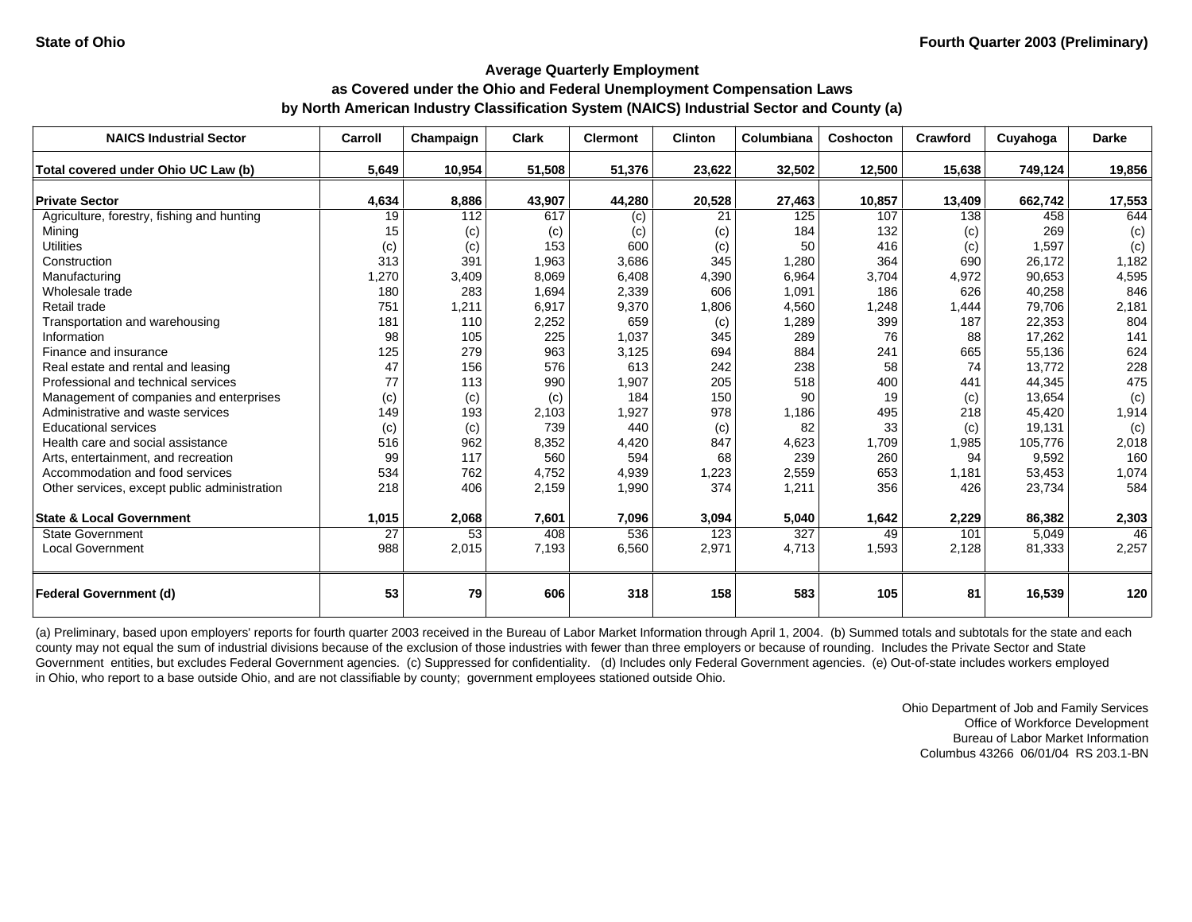| <b>NAICS Industrial Sector</b>               | Carroll | Champaign        | <b>Clark</b> | <b>Clermont</b> | <b>Clinton</b> | Columbiana | Coshocton | Crawford | Cuyahoga | <b>Darke</b> |
|----------------------------------------------|---------|------------------|--------------|-----------------|----------------|------------|-----------|----------|----------|--------------|
| Total covered under Ohio UC Law (b)          | 5,649   | 10,954           | 51,508       | 51,376          | 23,622         | 32,502     | 12,500    | 15,638   | 749,124  | 19,856       |
| <b>Private Sector</b>                        | 4,634   | 8,886            | 43,907       | 44,280          | 20,528         | 27,463     | 10,857    | 13,409   | 662,742  | 17,553       |
| Agriculture, forestry, fishing and hunting   | 19      | $\overline{112}$ | 617          | (c)             | 21             | 125        | 107       | 138      | 458      | 644          |
| Mining                                       | 15      | (c)              | (c)          | (c)             | (c)            | 184        | 132       | (c)      | 269      | (c)          |
| <b>Utilities</b>                             | (c)     | (c)              | 153          | 600             | (c)            | 50         | 416       | (c)      | 1,597    | (c)          |
| Construction                                 | 313     | 391              | 1,963        | 3,686           | 345            | 1,280      | 364       | 690      | 26,172   | 1,182        |
| Manufacturing                                | 1,270   | 3,409            | 8,069        | 6,408           | 4,390          | 6,964      | 3,704     | 4,972    | 90,653   | 4,595        |
| Wholesale trade                              | 180     | 283              | 1,694        | 2,339           | 606            | 1,091      | 186       | 626      | 40,258   | 846          |
| Retail trade                                 | 751     | 1,211            | 6,917        | 9,370           | 1,806          | 4,560      | 1,248     | 1,444    | 79,706   | 2,181        |
| Transportation and warehousing               | 181     | 110              | 2,252        | 659             | (c)            | 1,289      | 399       | 187      | 22,353   | 804          |
| Information                                  | 98      | 105              | 225          | 1,037           | 345            | 289        | 76        | 88       | 17,262   | 141          |
| Finance and insurance                        | 125     | 279              | 963          | 3,125           | 694            | 884        | 241       | 665      | 55,136   | 624          |
| Real estate and rental and leasing           | 47      | 156              | 576          | 613             | 242            | 238        | 58        | 74       | 13,772   | 228          |
| Professional and technical services          | 77      | 113              | 990          | 1,907           | 205            | 518        | 400       | 441      | 44,345   | 475          |
| Management of companies and enterprises      | (c)     | (c)              | (c)          | 184             | 150            | 90         | 19        | (c)      | 13,654   | (c)          |
| Administrative and waste services            | 149     | 193              | 2,103        | 1,927           | 978            | 1,186      | 495       | 218      | 45,420   | 1,914        |
| <b>Educational services</b>                  | (c)     | (c)              | 739          | 440             | (c)            | 82         | 33        | (c)      | 19,131   | (c)          |
| Health care and social assistance            | 516     | 962              | 8,352        | 4,420           | 847            | 4,623      | 1,709     | 1,985    | 105,776  | 2,018        |
| Arts, entertainment, and recreation          | 99      | 117              | 560          | 594             | 68             | 239        | 260       | 94       | 9,592    | 160          |
| Accommodation and food services              | 534     | 762              | 4.752        | 4,939           | 1,223          | 2,559      | 653       | 1,181    | 53,453   | 1,074        |
| Other services, except public administration | 218     | 406              | 2,159        | 1,990           | 374            | 1,211      | 356       | 426      | 23,734   | 584          |
| <b>State &amp; Local Government</b>          | 1,015   | 2,068            | 7,601        | 7,096           | 3,094          | 5,040      | 1,642     | 2,229    | 86,382   | 2,303        |
| <b>State Government</b>                      | 27      | 53               | 408          | 536             | 123            | 327        | 49        | 101      | 5,049    | 46           |
| <b>Local Government</b>                      | 988     | 2,015            | 7,193        | 6,560           | 2,971          | 4,713      | 1,593     | 2,128    | 81,333   | 2,257        |
| <b>Federal Government (d)</b>                | 53      | 79               | 606          | 318             | 158            | 583        | 105       | 81       | 16,539   | 120          |

(a) Preliminary, based upon employers' reports for fourth quarter 2003 received in the Bureau of Labor Market Information through April 1, 2004. (b) Summed totals and subtotals for the state and each county may not equal the sum of industrial divisions because of the exclusion of those industries with fewer than three employers or because of rounding. Includes the Private Sector and State Government entities, but excludes Federal Government agencies. (c) Suppressed for confidentiality. (d) Includes only Federal Government agencies. (e) Out-of-state includes workers employed in Ohio, who report to a base outside Ohio, and are not classifiable by county; government employees stationed outside Ohio.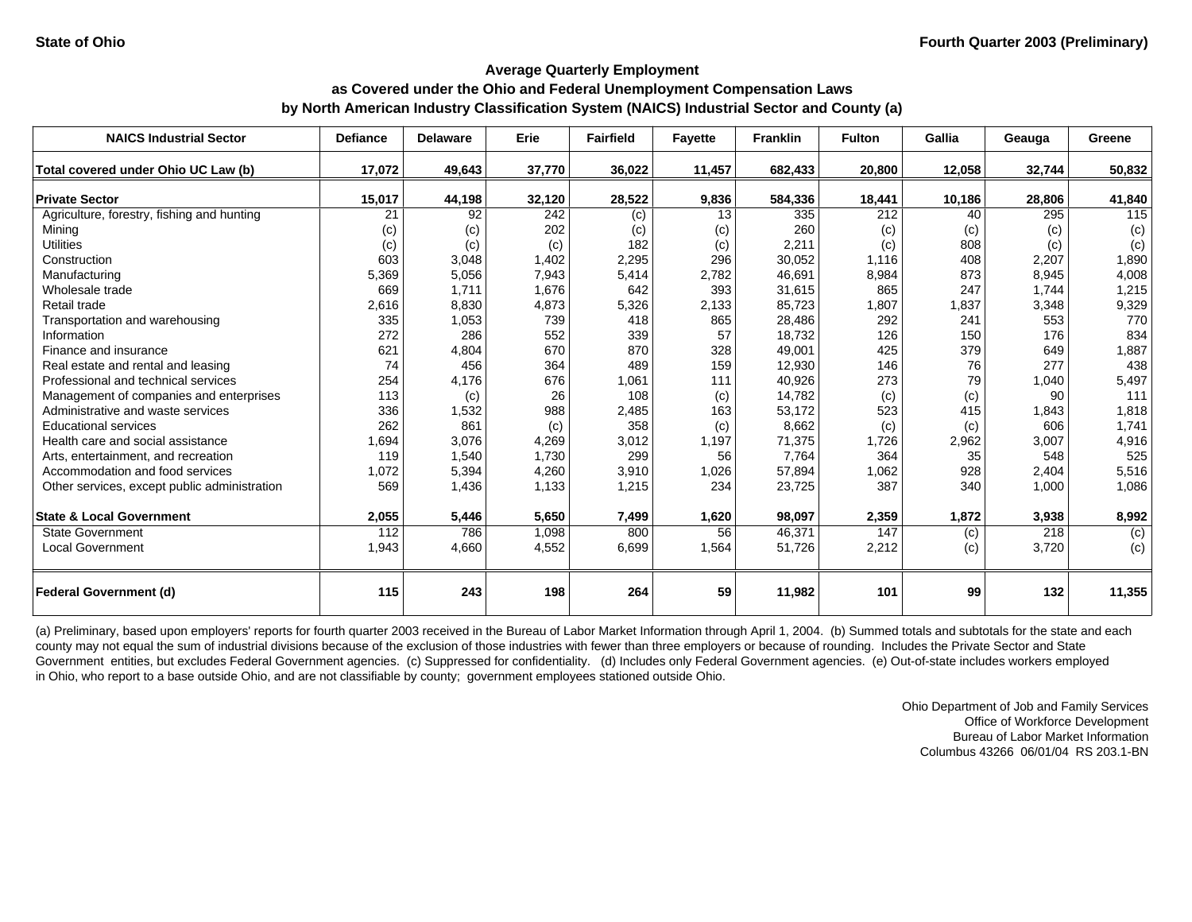| <b>NAICS Industrial Sector</b>               | <b>Defiance</b> | <b>Delaware</b> | Erie   | <b>Fairfield</b> | <b>Fayette</b> | <b>Franklin</b> | <b>Fulton</b> | Gallia | Geauga | Greene         |
|----------------------------------------------|-----------------|-----------------|--------|------------------|----------------|-----------------|---------------|--------|--------|----------------|
| Total covered under Ohio UC Law (b)          | 17,072          | 49,643          | 37,770 | 36,022           | 11,457         | 682,433         | 20,800        | 12,058 | 32,744 | 50,832         |
| <b>Private Sector</b>                        | 15,017          | 44,198          | 32,120 | 28,522           | 9,836          | 584,336         | 18,441        | 10,186 | 28,806 | 41,840         |
| Agriculture, forestry, fishing and hunting   | 21              | 92              | 242    | (c)              | 13             | 335             | 212           | 40     | 295    | 115            |
| Mining                                       | (c)             | (c)             | 202    | (c)              | (c)            | 260             | (c)           | (c)    | (c)    | (c)            |
| <b>Utilities</b>                             | (c)             | (c)             | (c)    | 182              | (c)            | 2,211           | (c)           | 808    | (c)    | (c)            |
| Construction                                 | 603             | 3,048           | 1,402  | 2,295            | 296            | 30,052          | 1,116         | 408    | 2,207  | 1,890          |
| Manufacturing                                | 5,369           | 5,056           | 7,943  | 5,414            | 2,782          | 46,691          | 8,984         | 873    | 8,945  | 4,008          |
| Wholesale trade                              | 669             | 1,711           | 1,676  | 642              | 393            | 31,615          | 865           | 247    | 1,744  | 1,215          |
| Retail trade                                 | 2,616           | 8,830           | 4,873  | 5,326            | 2,133          | 85,723          | 1,807         | 1,837  | 3,348  | 9,329          |
| Transportation and warehousing               | 335             | 1,053           | 739    | 418              | 865            | 28,486          | 292           | 241    | 553    | 770            |
| Information                                  | 272             | 286             | 552    | 339              | 57             | 18,732          | 126           | 150    | 176    | 834            |
| Finance and insurance                        | 621             | 4,804           | 670    | 870              | 328            | 49,001          | 425           | 379    | 649    | 1,887          |
| Real estate and rental and leasing           | 74              | 456             | 364    | 489              | 159            | 12,930          | 146           | 76     | 277    | 438            |
| Professional and technical services          | 254             | 4,176           | 676    | 1,061            | 111            | 40,926          | 273           | 79     | 1,040  | 5,497          |
| Management of companies and enterprises      | 113             | (c)             | 26     | 108              | (c)            | 14,782          | (c)           | (c)    | 90     | 111            |
| Administrative and waste services            | 336             | 1,532           | 988    | 2,485            | 163            | 53,172          | 523           | 415    | 1,843  | 1,818          |
| <b>Educational services</b>                  | 262             | 861             | (c)    | 358              | (c)            | 8,662           | (c)           | (c)    | 606    | 1,741          |
| Health care and social assistance            | 1,694           | 3,076           | 4,269  | 3,012            | 1,197          | 71,375          | 1,726         | 2,962  | 3,007  | 4,916          |
| Arts, entertainment, and recreation          | 119             | 1,540           | 1,730  | 299              | 56             | 7,764           | 364           | 35     | 548    | 525            |
| Accommodation and food services              | 1,072           | 5,394           | 4,260  | 3,910            | 1,026          | 57,894          | 1,062         | 928    | 2.404  | 5,516          |
| Other services, except public administration | 569             | 1,436           | 1,133  | 1,215            | 234            | 23,725          | 387           | 340    | 1,000  | 1,086          |
| <b>State &amp; Local Government</b>          | 2,055           | 5,446           | 5,650  | 7,499            | 1,620          | 98,097          | 2,359         | 1,872  | 3,938  | 8,992          |
| <b>State Government</b>                      | 112             | 786             | 1,098  | 800              | 56             | 46,371          | 147           | (c)    | 218    | $\overline{c}$ |
| <b>Local Government</b>                      | 1,943           | 4,660           | 4,552  | 6,699            | 1,564          | 51,726          | 2,212         | (c)    | 3,720  | (c)            |
| <b>Federal Government (d)</b>                | 115             | 243             | 198    | 264              | 59             | 11,982          | 101           | 99     | 132    | 11,355         |

(a) Preliminary, based upon employers' reports for fourth quarter 2003 received in the Bureau of Labor Market Information through April 1, 2004. (b) Summed totals and subtotals for the state and each county may not equal the sum of industrial divisions because of the exclusion of those industries with fewer than three employers or because of rounding. Includes the Private Sector and State Government entities, but excludes Federal Government agencies. (c) Suppressed for confidentiality. (d) Includes only Federal Government agencies. (e) Out-of-state includes workers employed in Ohio, who report to a base outside Ohio, and are not classifiable by county; government employees stationed outside Ohio.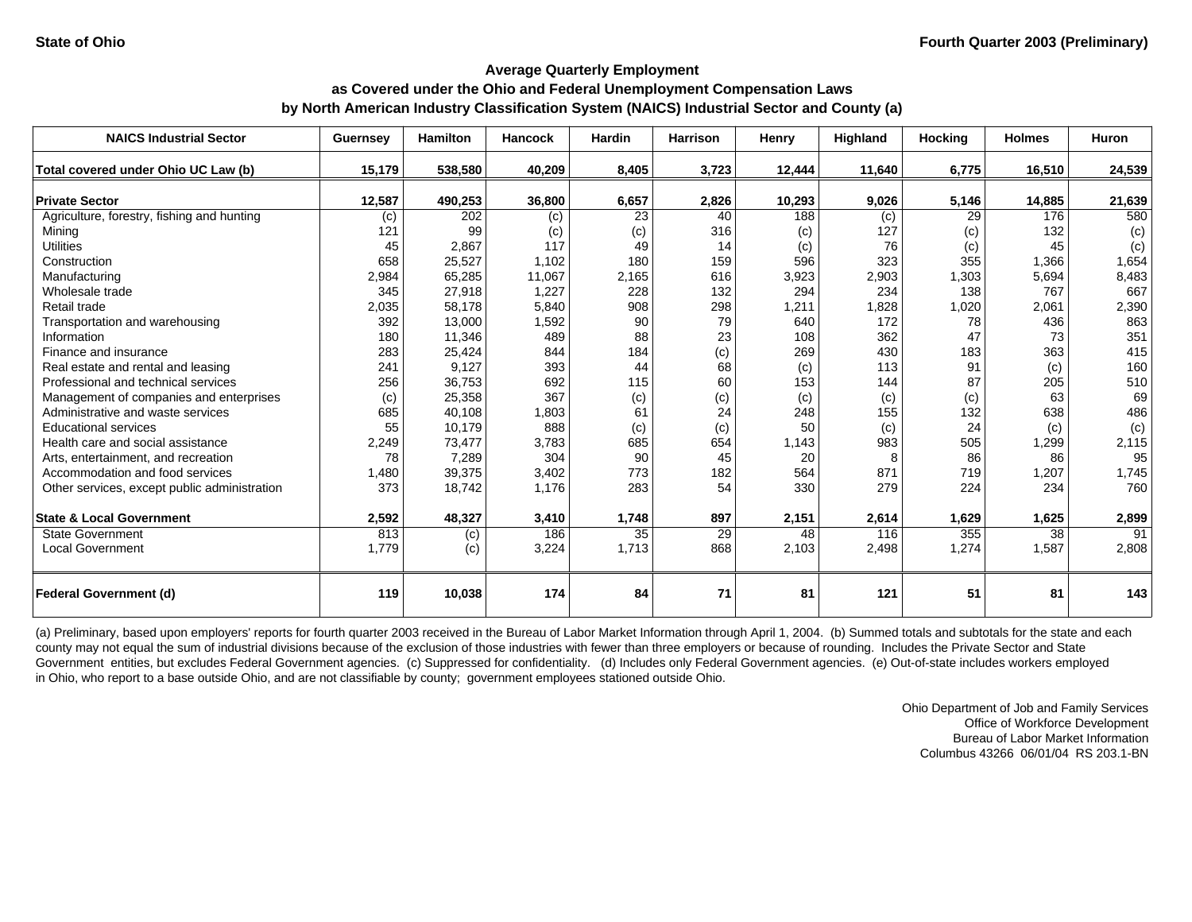| <b>NAICS Industrial Sector</b>               | <b>Guernsey</b> | <b>Hamilton</b> | <b>Hancock</b> | Hardin          | <b>Harrison</b> | Henry  | Highland | <b>Hocking</b> | <b>Holmes</b> | Huron  |
|----------------------------------------------|-----------------|-----------------|----------------|-----------------|-----------------|--------|----------|----------------|---------------|--------|
| Total covered under Ohio UC Law (b)          | 15,179          | 538,580         | 40,209         | 8,405           | 3,723           | 12,444 | 11,640   | 6,775          | 16,510        | 24,539 |
|                                              |                 |                 |                |                 |                 |        |          |                |               |        |
| <b>Private Sector</b>                        | 12,587          | 490,253         | 36,800         | 6,657           | 2,826           | 10,293 | 9,026    | 5,146          | 14,885        | 21,639 |
| Agriculture, forestry, fishing and hunting   | (c)             | 202             | (c)            | 23              | 40              | 188    | (c)      | 29             | 176           | 580    |
| Mining                                       | 121             | 99              | (c)            | (c)             | 316             | (c)    | 127      | (c)            | 132           | (c)    |
| <b>Utilities</b>                             | 45              | 2,867           | 117            | 49              | 14              | (c)    | 76       | (c)            | 45            | (c)    |
| Construction                                 | 658             | 25,527          | 1,102          | 180             | 159             | 596    | 323      | 355            | 1,366         | 1,654  |
| Manufacturing                                | 2,984           | 65,285          | 11,067         | 2,165           | 616             | 3,923  | 2,903    | 1,303          | 5,694         | 8,483  |
| Wholesale trade                              | 345             | 27,918          | 1,227          | 228             | 132             | 294    | 234      | 138            | 767           | 667    |
| Retail trade                                 | 2,035           | 58,178          | 5,840          | 908             | 298             | 1,211  | 1,828    | 1,020          | 2,061         | 2,390  |
| Transportation and warehousing               | 392             | 13,000          | 1,592          | 90              | 79              | 640    | 172      | 78             | 436           | 863    |
| Information                                  | 180             | 11,346          | 489            | 88              | 23              | 108    | 362      | 47             | 73            | 351    |
| Finance and insurance                        | 283             | 25,424          | 844            | 184             | (c)             | 269    | 430      | 183            | 363           | 415    |
| Real estate and rental and leasing           | 241             | 9,127           | 393            | 44              | 68              | (c)    | 113      | 91             | (c)           | 160    |
| Professional and technical services          | 256             | 36,753          | 692            | 115             | 60              | 153    | 144      | 87             | 205           | 510    |
| Management of companies and enterprises      | (c)             | 25,358          | 367            | (c)             | (c)             | (c)    | (c)      | (c)            | 63            | 69     |
| Administrative and waste services            | 685             | 40,108          | 1,803          | 61              | 24              | 248    | 155      | 132            | 638           | 486    |
| <b>Educational services</b>                  | 55              | 10,179          | 888            | (c)             | (c)             | 50     | (c)      | 24             | (c)           | (c)    |
| Health care and social assistance            | 2,249           | 73,477          | 3,783          | 685             | 654             | 1,143  | 983      | 505            | 1,299         | 2,115  |
| Arts, entertainment, and recreation          | 78              | 7,289           | 304            | 90              | 45              | 20     |          | 86             | 86            | 95     |
| Accommodation and food services              | 1,480           | 39,375          | 3,402          | 773             | 182             | 564    | 871      | 719            | 1,207         | 1,745  |
| Other services, except public administration | 373             | 18,742          | 1,176          | 283             | 54              | 330    | 279      | 224            | 234           | 760    |
| <b>State &amp; Local Government</b>          | 2,592           | 48,327          | 3,410          | 1,748           | 897             | 2,151  | 2,614    | 1,629          | 1,625         | 2,899  |
| State Government                             | 813             | (c)             | 186            | $\overline{35}$ | 29              | 48     | 116      | 355            | 38            | 91     |
| <b>Local Government</b>                      | 1,779           | (c)             | 3,224          | 1,713           | 868             | 2,103  | 2,498    | 1,274          | 1,587         | 2,808  |
| <b>Federal Government (d)</b>                | 119             | 10,038          | 174            | 84              | 71              | 81     | 121      | 51             | 81            | 143    |

(a) Preliminary, based upon employers' reports for fourth quarter 2003 received in the Bureau of Labor Market Information through April 1, 2004. (b) Summed totals and subtotals for the state and each county may not equal the sum of industrial divisions because of the exclusion of those industries with fewer than three employers or because of rounding. Includes the Private Sector and State Government entities, but excludes Federal Government agencies. (c) Suppressed for confidentiality. (d) Includes only Federal Government agencies. (e) Out-of-state includes workers employed in Ohio, who report to a base outside Ohio, and are not classifiable by county; government employees stationed outside Ohio.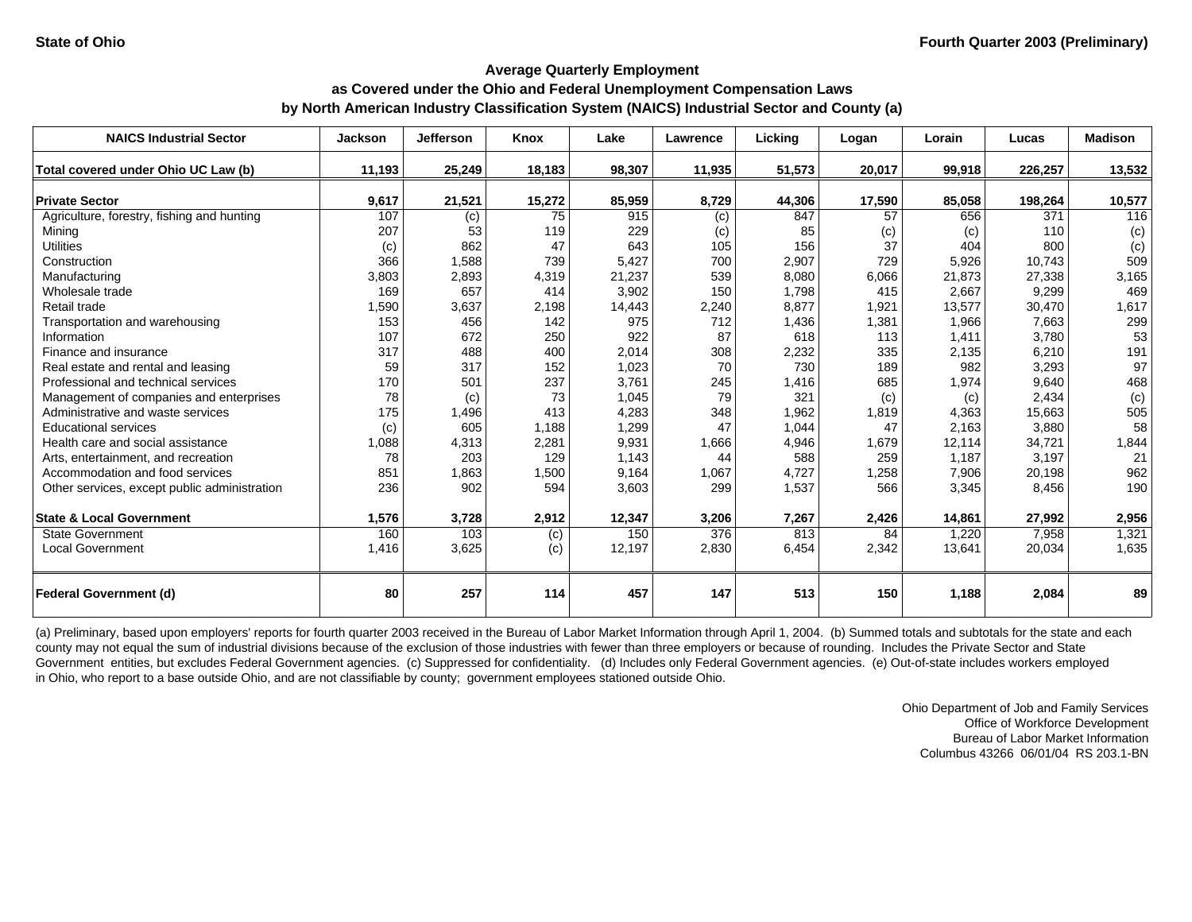| <b>NAICS Industrial Sector</b>               | <b>Jackson</b> | <b>Jefferson</b> | Knox   | Lake   | Lawrence | Licking | Logan  | Lorain | Lucas   | <b>Madison</b> |
|----------------------------------------------|----------------|------------------|--------|--------|----------|---------|--------|--------|---------|----------------|
| Total covered under Ohio UC Law (b)          | 11,193         | 25,249           | 18,183 | 98,307 | 11,935   | 51,573  | 20,017 | 99,918 | 226,257 | 13,532         |
|                                              |                |                  |        |        |          |         |        |        |         |                |
| <b>Private Sector</b>                        | 9,617          | 21,521           | 15,272 | 85,959 | 8,729    | 44,306  | 17,590 | 85,058 | 198,264 | 10,577         |
| Agriculture, forestry, fishing and hunting   | 107            | (c)              | 75     | 915    | (c)      | 847     | 57     | 656    | 371     | 116            |
| Mining                                       | 207            | 53               | 119    | 229    | (c)      | 85      | (c)    | (c)    | 110     | (c)            |
| <b>Utilities</b>                             | (c)            | 862              | 47     | 643    | 105      | 156     | 37     | 404    | 800     | (c)            |
| Construction                                 | 366            | 1,588            | 739    | 5,427  | 700      | 2,907   | 729    | 5,926  | 10,743  | 509            |
| Manufacturing                                | 3,803          | 2,893            | 4,319  | 21,237 | 539      | 8,080   | 6,066  | 21,873 | 27.338  | 3,165          |
| Wholesale trade                              | 169            | 657              | 414    | 3,902  | 150      | 1,798   | 415    | 2,667  | 9,299   | 469            |
| Retail trade                                 | 1,590          | 3,637            | 2,198  | 14,443 | 2,240    | 8,877   | 1,921  | 13,577 | 30,470  | 1,617          |
| Transportation and warehousing               | 153            | 456              | 142    | 975    | 712      | 1,436   | 1,381  | 1,966  | 7,663   | 299            |
| Information                                  | 107            | 672              | 250    | 922    | 87       | 618     | 113    | 1,411  | 3,780   | 53             |
| Finance and insurance                        | 317            | 488              | 400    | 2,014  | 308      | 2,232   | 335    | 2,135  | 6,210   | 191            |
| Real estate and rental and leasing           | 59             | 317              | 152    | 1,023  | 70       | 730     | 189    | 982    | 3,293   | 97             |
| Professional and technical services          | 170            | 501              | 237    | 3,761  | 245      | 1,416   | 685    | 1,974  | 9.640   | 468            |
| Management of companies and enterprises      | 78             | (c)              | 73     | 1,045  | 79       | 321     | (c)    | (c)    | 2,434   | (c)            |
| Administrative and waste services            | 175            | 1,496            | 413    | 4,283  | 348      | 1,962   | 1,819  | 4,363  | 15,663  | 505            |
| <b>Educational services</b>                  | (c)            | 605              | 1,188  | 1,299  | 47       | 1,044   | 47     | 2,163  | 3,880   | 58             |
| Health care and social assistance            | 1,088          | 4,313            | 2,281  | 9,931  | 1,666    | 4,946   | 1,679  | 12,114 | 34,721  | 1,844          |
| Arts, entertainment, and recreation          | 78             | 203              | 129    | 1,143  | 44       | 588     | 259    | 1,187  | 3,197   | 21             |
| Accommodation and food services              | 851            | 1,863            | 1,500  | 9,164  | 1,067    | 4,727   | 1,258  | 7,906  | 20,198  | 962            |
| Other services, except public administration | 236            | 902              | 594    | 3,603  | 299      | 1,537   | 566    | 3,345  | 8,456   | 190            |
| <b>State &amp; Local Government</b>          | 1,576          | 3,728            | 2,912  | 12,347 | 3,206    | 7,267   | 2,426  | 14.861 | 27,992  | 2,956          |
| <b>State Government</b>                      | 160            | 103              | (c)    | 150    | 376      | 813     | 84     | 1,220  | 7,958   | 1,321          |
| <b>Local Government</b>                      | 1,416          | 3,625            | (c)    | 12,197 | 2,830    | 6,454   | 2,342  | 13,641 | 20,034  | 1,635          |
| <b>Federal Government (d)</b>                | 80             | 257              | 114    | 457    | 147      | 513     | 150    | 1,188  | 2,084   | 89             |

(a) Preliminary, based upon employers' reports for fourth quarter 2003 received in the Bureau of Labor Market Information through April 1, 2004. (b) Summed totals and subtotals for the state and each county may not equal the sum of industrial divisions because of the exclusion of those industries with fewer than three employers or because of rounding. Includes the Private Sector and State Government entities, but excludes Federal Government agencies. (c) Suppressed for confidentiality. (d) Includes only Federal Government agencies. (e) Out-of-state includes workers employed in Ohio, who report to a base outside Ohio, and are not classifiable by county; government employees stationed outside Ohio.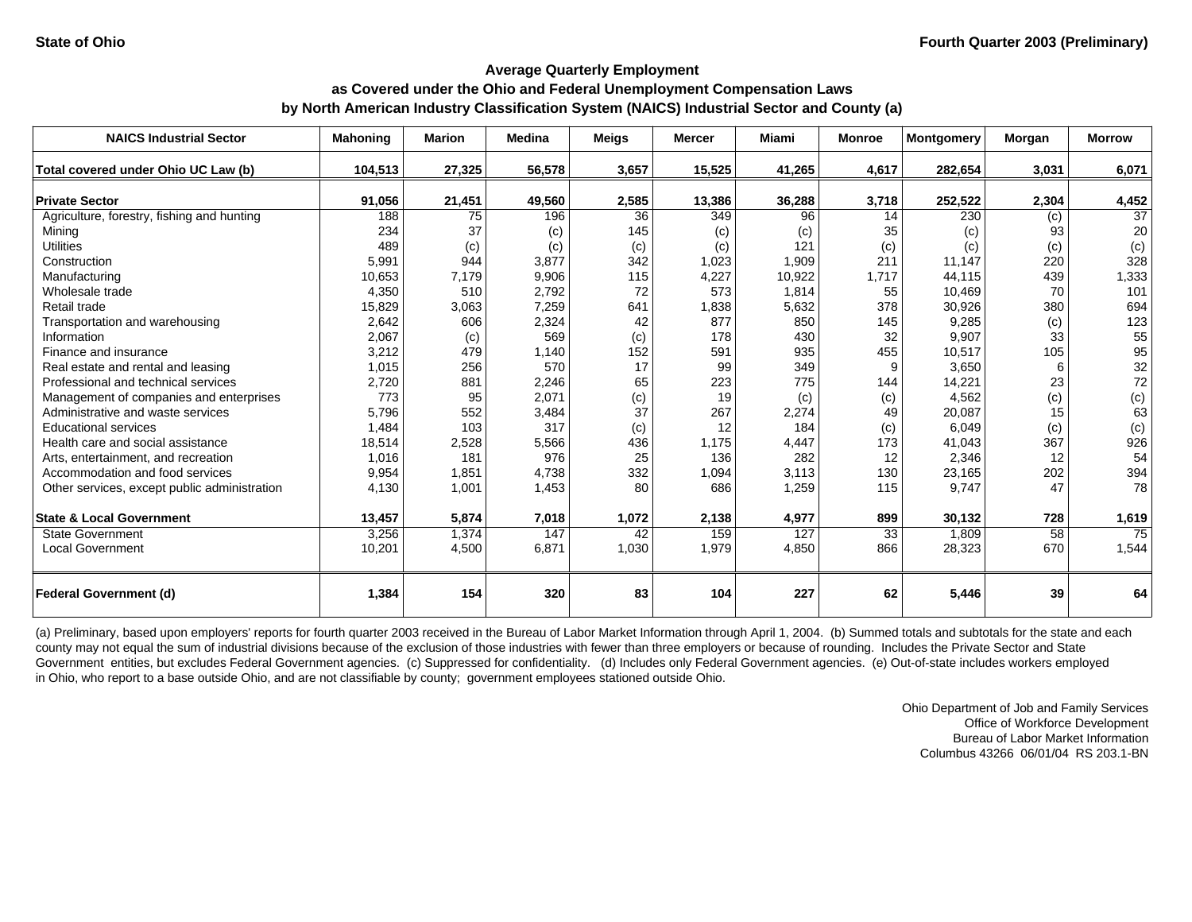| <b>NAICS Industrial Sector</b>                | <b>Mahoning</b> | <b>Marion</b> | <b>Medina</b> | <b>Meigs</b> | <b>Mercer</b> | <b>Miami</b> | <b>Monroe</b> | <b>Montgomery</b> | Morgan     | <b>Morrow</b>            |
|-----------------------------------------------|-----------------|---------------|---------------|--------------|---------------|--------------|---------------|-------------------|------------|--------------------------|
| Total covered under Ohio UC Law (b)           | 104,513         | 27,325        | 56,578        | 3,657        | 15,525        | 41,265       | 4,617         | 282,654           | 3,031      | 6,071                    |
| <b>Private Sector</b>                         |                 |               |               |              |               |              |               |                   |            |                          |
| Agriculture, forestry, fishing and hunting    | 91,056<br>188   | 21,451<br>75  | 49,560<br>196 | 2,585<br>36  | 13,386<br>349 | 36,288<br>96 | 3,718<br>14   | 252,522<br>230    | 2,304      | 4,452<br>$\overline{37}$ |
| Mining                                        | 234             | 37            |               | 145          |               |              | 35            |                   | (c)<br>93  | 20                       |
| <b>Utilities</b>                              | 489             |               | (c)<br>(c)    |              | (c)<br>(c)    | (c)<br>121   | (c)           | (c)<br>(c)        |            | (c)                      |
| Construction                                  | 5,991           | (c)<br>944    | 3,877         | (c)<br>342   | 1,023         | 1,909        | 211           | 11,147            | (c)<br>220 | 328                      |
| Manufacturing                                 | 10,653          |               | 9,906         | 115          | 4,227         | 10,922       | 1,717         | 44,115            | 439        |                          |
| Wholesale trade                               | 4,350           | 7,179<br>510  | 2,792         | 72           | 573           | 1,814        | 55            | 10,469            | 70         | 1,333<br>101             |
| Retail trade                                  |                 | 3,063         | 7,259         | 641          | 1,838         |              | 378           | 30,926            | 380        | 694                      |
|                                               | 15,829<br>2,642 | 606           |               | 42           | 877           | 5,632<br>850 | 145           | 9,285             |            | 123                      |
| Transportation and warehousing<br>Information |                 |               | 2,324<br>569  |              | 178           |              |               |                   | (c)<br>33  |                          |
|                                               | 2,067           | (c)<br>479    |               | (c)          |               | 430          | 32<br>455     | 9,907             |            | 55                       |
| Finance and insurance                         | 3,212           |               | 1,140<br>570  | 152<br>17    | 591           | 935          | 9             | 10,517            | 105<br>6   | 95                       |
| Real estate and rental and leasing            | 1,015           | 256           |               |              | 99            | 349<br>775   |               | 3,650             |            | 32                       |
| Professional and technical services           | 2,720           | 881           | 2,246         | 65           | 223           |              | 144           | 14,221            | 23         | 72                       |
| Management of companies and enterprises       | 773             | 95            | 2,071         | (c)          | 19            | (c)          | (c)           | 4,562             | (c)        | (c)                      |
| Administrative and waste services             | 5,796           | 552           | 3,484         | 37           | 267           | 2,274        | 49            | 20,087            | 15         | 63                       |
| <b>Educational services</b>                   | 1,484           | 103           | 317           | (c)          | 12            | 184          | (c)           | 6,049             | (c)        | (c)                      |
| Health care and social assistance             | 18,514          | 2,528         | 5,566         | 436          | 1,175         | 4,447        | 173           | 41,043            | 367        | 926                      |
| Arts, entertainment, and recreation           | 1,016           | 181           | 976           | 25           | 136           | 282          | 12            | 2,346             | 12         | 54                       |
| Accommodation and food services               | 9,954           | 1,851         | 4,738         | 332          | 1,094         | 3,113        | 130           | 23,165            | 202        | 394                      |
| Other services, except public administration  | 4,130           | 1,001         | 1,453         | 80           | 686           | 1,259        | 115           | 9,747             | 47         | 78                       |
| <b>State &amp; Local Government</b>           | 13,457          | 5,874         | 7,018         | 1,072        | 2,138         | 4,977        | 899           | 30,132            | 728        | 1,619                    |
| <b>State Government</b>                       | 3,256           | 1,374         | 147           | 42           | 159           | 127          | 33            | 1,809             | 58         | $\overline{75}$          |
| <b>Local Government</b>                       | 10,201          | 4,500         | 6,871         | 1,030        | 1,979         | 4,850        | 866           | 28,323            | 670        | 1,544                    |
| Federal Government (d)                        | 1,384           | 154           | 320           | 83           | 104           | 227          | 62            | 5,446             | 39         | 64                       |

(a) Preliminary, based upon employers' reports for fourth quarter 2003 received in the Bureau of Labor Market Information through April 1, 2004. (b) Summed totals and subtotals for the state and each county may not equal the sum of industrial divisions because of the exclusion of those industries with fewer than three employers or because of rounding. Includes the Private Sector and State Government entities, but excludes Federal Government agencies. (c) Suppressed for confidentiality. (d) Includes only Federal Government agencies. (e) Out-of-state includes workers employed in Ohio, who report to a base outside Ohio, and are not classifiable by county; government employees stationed outside Ohio.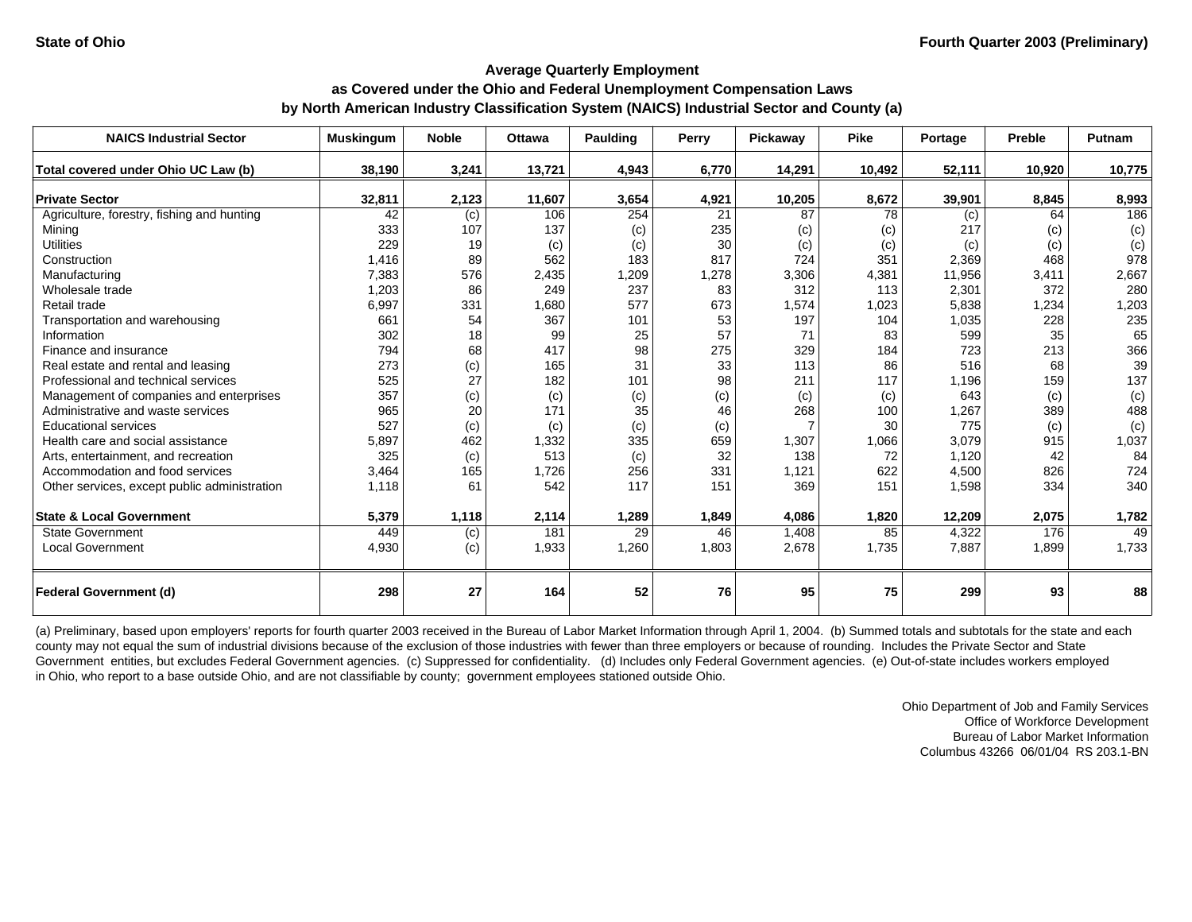| <b>NAICS Industrial Sector</b>               | <b>Muskingum</b> | <b>Noble</b> | <b>Ottawa</b> | <b>Paulding</b> | Perry | Pickaway | <b>Pike</b> | Portage | <b>Preble</b> | Putnam |
|----------------------------------------------|------------------|--------------|---------------|-----------------|-------|----------|-------------|---------|---------------|--------|
| Total covered under Ohio UC Law (b)          | 38,190           | 3,241        | 13,721        | 4,943           | 6,770 | 14,291   | 10,492      | 52,111  | 10,920        | 10,775 |
| <b>Private Sector</b>                        | 32,811           | 2,123        | 11,607        | 3,654           | 4,921 | 10,205   | 8,672       | 39,901  | 8,845         | 8,993  |
| Agriculture, forestry, fishing and hunting   | 42               | (c)          | 106           | 254             | 21    | 87       | 78          | (c)     | 64            | 186    |
| Minina                                       | 333              | 107          | 137           | (c)             | 235   | (c)      | (c)         | 217     | (c)           | (c)    |
| <b>Utilities</b>                             | 229              | 19           | (c)           | (c)             | 30    | (c)      | (c)         | (c)     | (c)           | (c)    |
| Construction                                 | 1,416            | 89           | 562           | 183             | 817   | 724      | 351         | 2,369   | 468           | 978    |
| Manufacturing                                | 7,383            | 576          | 2,435         | 1,209           | 1,278 | 3,306    | 4,381       | 11,956  | 3,411         | 2,667  |
| Wholesale trade                              | 1,203            | 86           | 249           | 237             | 83    | 312      | 113         | 2,301   | 372           | 280    |
| Retail trade                                 | 6,997            | 331          | 1,680         | 577             | 673   | 1,574    | 1,023       | 5,838   | 1,234         | 1,203  |
| Transportation and warehousing               | 661              | 54           | 367           | 101             | 53    | 197      | 104         | 1,035   | 228           | 235    |
| Information                                  | 302              | 18           | 99            | 25              | 57    | 71       | 83          | 599     | 35            | 65     |
| Finance and insurance                        | 794              | 68           | 417           | 98              | 275   | 329      | 184         | 723     | 213           | 366    |
| Real estate and rental and leasing           | 273              | (c)          | 165           | 31              | 33    | 113      | 86          | 516     | 68            | 39     |
| Professional and technical services          | 525              | 27           | 182           | 101             | 98    | 211      | 117         | 1,196   | 159           | 137    |
| Management of companies and enterprises      | 357              | (c)          | (c)           | (c)             | (c)   | (c)      | (c)         | 643     | (c)           | (c)    |
| Administrative and waste services            | 965              | 20           | 171           | 35              | 46    | 268      | 100         | 1,267   | 389           | 488    |
| <b>Educational services</b>                  | 527              | (c)          | (c)           | (c)             | (c)   |          | 30          | 775     | (c)           | (c)    |
| Health care and social assistance            | 5,897            | 462          | 1,332         | 335             | 659   | 1,307    | 1,066       | 3,079   | 915           | 1,037  |
| Arts, entertainment, and recreation          | 325              | (c)          | 513           | (c)             | 32    | 138      | 72          | 1,120   | 42            | 84     |
| Accommodation and food services              | 3,464            | 165          | 1,726         | 256             | 331   | 1,121    | 622         | 4,500   | 826           | 724    |
| Other services, except public administration | 1,118            | 61           | 542           | 117             | 151   | 369      | 151         | 1,598   | 334           | 340    |
| <b>State &amp; Local Government</b>          | 5,379            | 1,118        | 2,114         | 1,289           | 1,849 | 4,086    | 1,820       | 12,209  | 2,075         | 1,782  |
| <b>State Government</b>                      | 449              | (c)          | 181           | 29              | 46    | 1,408    | 85          | 4,322   | 176           | 49     |
| <b>Local Government</b>                      | 4,930            | (c)          | 1,933         | 1,260           | 1,803 | 2,678    | 1,735       | 7,887   | 1,899         | 1,733  |
| <b>Federal Government (d)</b>                | 298              | 27           | 164           | 52              | 76    | 95       | 75          | 299     | 93            | 88     |

(a) Preliminary, based upon employers' reports for fourth quarter 2003 received in the Bureau of Labor Market Information through April 1, 2004. (b) Summed totals and subtotals for the state and each county may not equal the sum of industrial divisions because of the exclusion of those industries with fewer than three employers or because of rounding. Includes the Private Sector and State Government entities, but excludes Federal Government agencies. (c) Suppressed for confidentiality. (d) Includes only Federal Government agencies. (e) Out-of-state includes workers employed in Ohio, who report to a base outside Ohio, and are not classifiable by county; government employees stationed outside Ohio.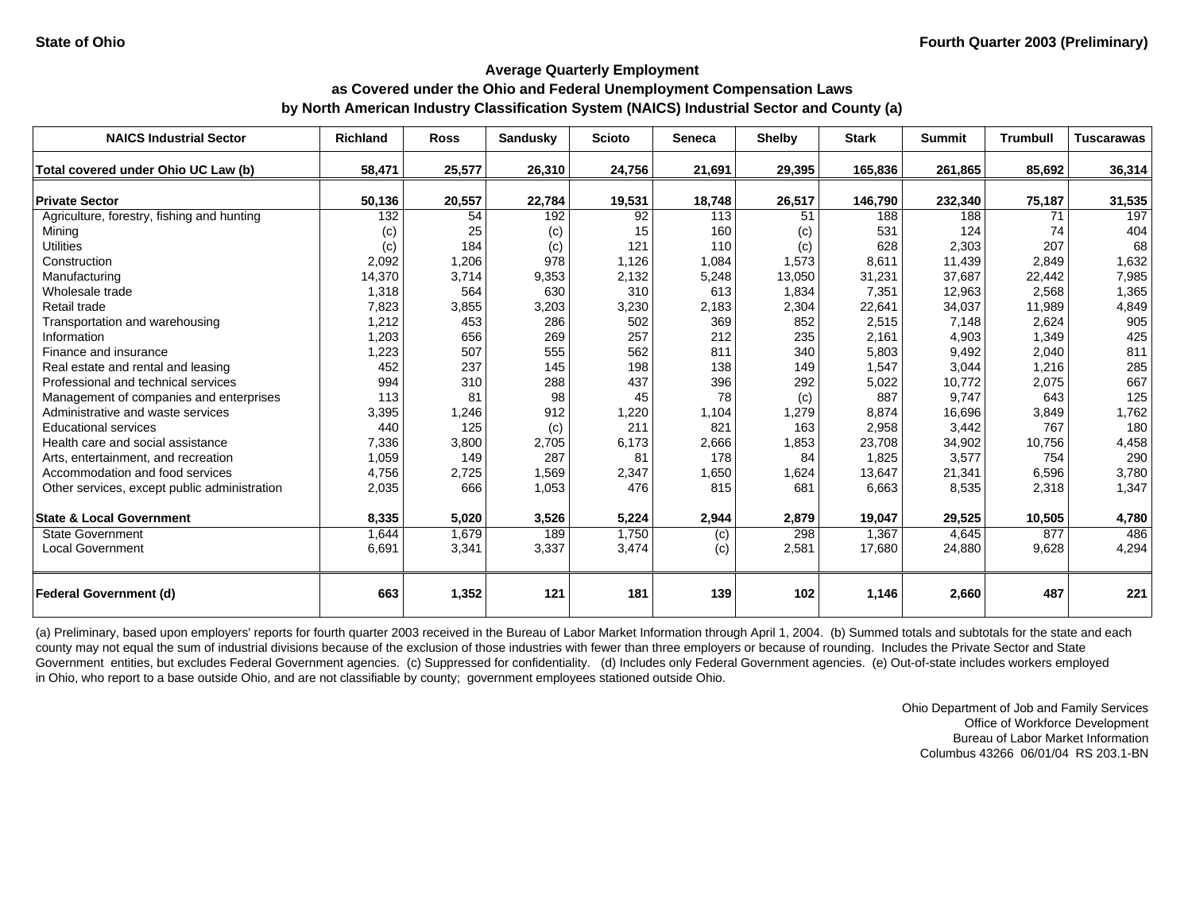| <b>NAICS Industrial Sector</b>               | <b>Richland</b> | <b>Ross</b> | <b>Sandusky</b> | <b>Scioto</b> | <b>Seneca</b> | <b>Shelby</b> | <b>Stark</b> | <b>Summit</b> | <b>Trumbull</b> | <b>Tuscarawas</b> |
|----------------------------------------------|-----------------|-------------|-----------------|---------------|---------------|---------------|--------------|---------------|-----------------|-------------------|
| Total covered under Ohio UC Law (b)          | 58,471          | 25,577      | 26,310          | 24,756        | 21,691        | 29,395        | 165,836      | 261,865       | 85,692          | 36,314            |
|                                              |                 |             |                 |               |               |               |              |               |                 |                   |
| <b>Private Sector</b>                        | 50,136          | 20,557      | 22,784          | 19,531        | 18,748        | 26,517        | 146,790      | 232,340       | 75,187          | 31,535            |
| Agriculture, forestry, fishing and hunting   | 132             | 54          | 192             | 92            | 113           | 51            | 188          | 188           | 71              | 197               |
| Mining                                       | (c)             | 25          | (c)             | 15            | 160           | (c)           | 531          | 124           | 74              | 404               |
| <b>Utilities</b>                             | (c)             | 184         | (c)             | 121           | 110           | (c)           | 628          | 2,303         | 207             | 68                |
| Construction                                 | 2,092           | 1,206       | 978             | 1,126         | 1,084         | 1,573         | 8,611        | 11,439        | 2,849           | 1,632             |
| Manufacturing                                | 14,370          | 3,714       | 9,353           | 2,132         | 5,248         | 13,050        | 31,231       | 37,687        | 22,442          | 7,985             |
| Wholesale trade                              | 1,318           | 564         | 630             | 310           | 613           | 1,834         | 7,351        | 12,963        | 2,568           | 1,365             |
| Retail trade                                 | 7,823           | 3,855       | 3,203           | 3,230         | 2,183         | 2,304         | 22,641       | 34,037        | 11,989          | 4,849             |
| Transportation and warehousing               | 1,212           | 453         | 286             | 502           | 369           | 852           | 2,515        | 7,148         | 2,624           | 905               |
| Information                                  | 1,203           | 656         | 269             | 257           | 212           | 235           | 2,161        | 4,903         | 1,349           | 425               |
| Finance and insurance                        | 1,223           | 507         | 555             | 562           | 811           | 340           | 5,803        | 9,492         | 2,040           | 811               |
| Real estate and rental and leasing           | 452             | 237         | 145             | 198           | 138           | 149           | 1,547        | 3,044         | 1,216           | 285               |
| Professional and technical services          | 994             | 310         | 288             | 437           | 396           | 292           | 5,022        | 10,772        | 2,075           | 667               |
| Management of companies and enterprises      | 113             | 81          | 98              | 45            | 78            | (c)           | 887          | 9,747         | 643             | 125               |
| Administrative and waste services            | 3,395           | 1,246       | 912             | 1,220         | 1,104         | 1,279         | 8,874        | 16,696        | 3,849           | 1,762             |
| <b>Educational services</b>                  | 440             | 125         | (c)             | 211           | 821           | 163           | 2,958        | 3,442         | 767             | 180               |
| Health care and social assistance            | 7,336           | 3,800       | 2,705           | 6,173         | 2,666         | 1,853         | 23,708       | 34,902        | 10,756          | 4,458             |
| Arts, entertainment, and recreation          | 1,059           | 149         | 287             | 81            | 178           | 84            | 1,825        | 3,577         | 754             | 290               |
| Accommodation and food services              | 4,756           | 2,725       | 1,569           | 2,347         | 1,650         | 1,624         | 13,647       | 21,341        | 6,596           | 3,780             |
| Other services, except public administration | 2,035           | 666         | 1,053           | 476           | 815           | 681           | 6,663        | 8,535         | 2,318           | 1,347             |
| <b>State &amp; Local Government</b>          | 8,335           | 5,020       | 3,526           | 5,224         | 2,944         | 2,879         | 19,047       | 29,525        | 10,505          | 4,780             |
| <b>State Government</b>                      | 1,644           | 1,679       | 189             | 1,750         | (c)           | 298           | 1,367        | 4,645         | 877             | 486               |
| <b>Local Government</b>                      | 6,691           | 3,341       | 3,337           | 3,474         | (c)           | 2,581         | 17,680       | 24,880        | 9,628           | 4,294             |
| <b>Federal Government (d)</b>                | 663             | 1,352       | 121             | 181           | 139           | 102           | 1,146        | 2,660         | 487             | 221               |

(a) Preliminary, based upon employers' reports for fourth quarter 2003 received in the Bureau of Labor Market Information through April 1, 2004. (b) Summed totals and subtotals for the state and each county may not equal the sum of industrial divisions because of the exclusion of those industries with fewer than three employers or because of rounding. Includes the Private Sector and State Government entities, but excludes Federal Government agencies. (c) Suppressed for confidentiality. (d) Includes only Federal Government agencies. (e) Out-of-state includes workers employed in Ohio, who report to a base outside Ohio, and are not classifiable by county; government employees stationed outside Ohio.